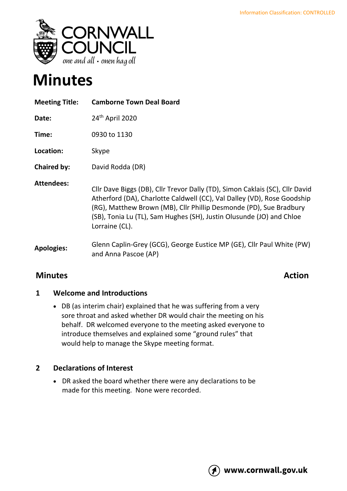

# **Minutes**

| <b>Meeting Title:</b> | <b>Camborne Town Deal Board</b>                                                                                                                                                                                                                                                                                         |
|-----------------------|-------------------------------------------------------------------------------------------------------------------------------------------------------------------------------------------------------------------------------------------------------------------------------------------------------------------------|
| Date:                 | 24 <sup>th</sup> April 2020                                                                                                                                                                                                                                                                                             |
| Time:                 | 0930 to 1130                                                                                                                                                                                                                                                                                                            |
| Location:             | Skype                                                                                                                                                                                                                                                                                                                   |
| <b>Chaired by:</b>    | David Rodda (DR)                                                                                                                                                                                                                                                                                                        |
| <b>Attendees:</b>     | Cllr Dave Biggs (DB), Cllr Trevor Dally (TD), Simon Caklais (SC), Cllr David<br>Atherford (DA), Charlotte Caldwell (CC), Val Dalley (VD), Rose Goodship<br>(RG), Matthew Brown (MB), Cllr Phillip Desmonde (PD), Sue Bradbury<br>(SB), Tonia Lu (TL), Sam Hughes (SH), Justin Olusunde (JO) and Chloe<br>Lorraine (CL). |
| <b>Apologies:</b>     | Glenn Caplin-Grey (GCG), George Eustice MP (GE), Cllr Paul White (PW)<br>and Anna Pascoe (AP)                                                                                                                                                                                                                           |

# **Minutes Action**

### **1 Welcome and Introductions**

• DB (as interim chair) explained that he was suffering from a very sore throat and asked whether DR would chair the meeting on his behalf. DR welcomed everyone to the meeting asked everyone to introduce themselves and explained some "ground rules" that would help to manage the Skype meeting format.

### **2 Declarations of Interest**

• DR asked the board whether there were any declarations to be made for this meeting. None were recorded.

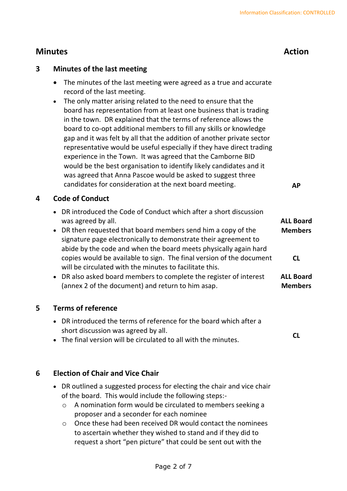**ALL Board** 

### **3 Minutes of the last meeting**

- The minutes of the last meeting were agreed as a true and accurate record of the last meeting.
- The only matter arising related to the need to ensure that the board has representation from at least one business that is trading in the town. DR explained that the terms of reference allows the board to co-opt additional members to fill any skills or knowledge gap and it was felt by all that the addition of another private sector representative would be useful especially if they have direct trading experience in the Town. It was agreed that the Camborne BID would be the best organisation to identify likely candidates and it was agreed that Anna Pascoe would be asked to suggest three candidates for consideration at the next board meeting. **AP**

### **4 Code of Conduct**

- DR introduced the Code of Conduct which after a short discussion was agreed by all.
- DR then requested that board members send him a copy of the signature page electronically to demonstrate their agreement to abide by the code and when the board meets physically again hard copies would be available to sign. The final version of the document will be circulated with the minutes to facilitate this. **Members CL**
- DR also asked board members to complete the register of interest (annex 2 of the document) and return to him asap. **ALL Board Members**

### **5 Terms of reference**

- DR introduced the terms of reference for the board which after a short discussion was agreed by all.
- The final version will be circulated to all with the minutes. **CL**

### **6 Election of Chair and Vice Chair**

- DR outlined a suggested process for electing the chair and vice chair of the board. This would include the following steps:
	- o A nomination form would be circulated to members seeking a proposer and a seconder for each nominee
	- o Once these had been received DR would contact the nominees to ascertain whether they wished to stand and if they did to request a short "pen picture" that could be sent out with the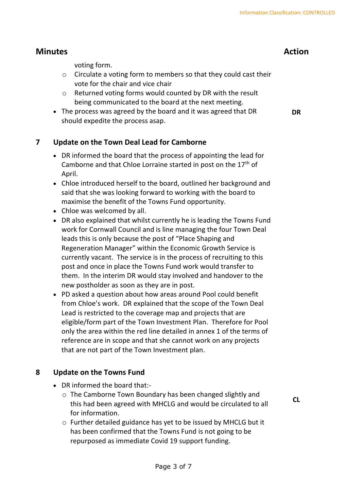voting form.

- o Circulate a voting form to members so that they could cast their vote for the chair and vice chair
- o Returned voting forms would counted by DR with the result being communicated to the board at the next meeting.
- The process was agreed by the board and it was agreed that DR should expedite the process asap.

### **7 Update on the Town Deal Lead for Camborne**

- DR informed the board that the process of appointing the lead for Camborne and that Chloe Lorraine started in post on the  $17<sup>th</sup>$  of April.
- Chloe introduced herself to the board, outlined her background and said that she was looking forward to working with the board to maximise the benefit of the Towns Fund opportunity.
- Chloe was welcomed by all.
- DR also explained that whilst currently he is leading the Towns Fund work for Cornwall Council and is line managing the four Town Deal leads this is only because the post of "Place Shaping and Regeneration Manager" within the Economic Growth Service is currently vacant. The service is in the process of recruiting to this post and once in place the Towns Fund work would transfer to them. In the interim DR would stay involved and handover to the new postholder as soon as they are in post.
- PD asked a question about how areas around Pool could benefit from Chloe's work. DR explained that the scope of the Town Deal Lead is restricted to the coverage map and projects that are eligible/form part of the Town Investment Plan. Therefore for Pool only the area within the red line detailed in annex 1 of the terms of reference are in scope and that she cannot work on any projects that are not part of the Town Investment plan.

#### **8 Update on the Towns Fund**

- DR informed the board that:
	- o The Camborne Town Boundary has been changed slightly and this had been agreed with MHCLG and would be circulated to all for information.
	- o Further detailed guidance has yet to be issued by MHCLG but it has been confirmed that the Towns Fund is not going to be repurposed as immediate Covid 19 support funding.

**DR**

**CL**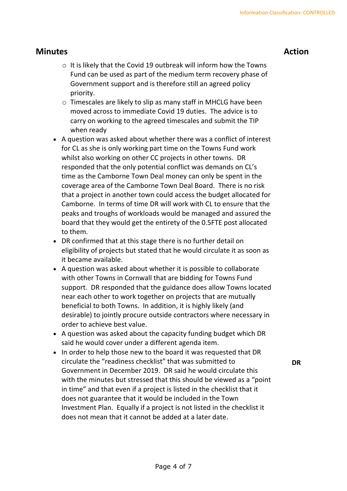- o It is likely that the Covid 19 outbreak will inform how the Towns Fund can be used as part of the medium term recovery phase of Government support and is therefore still an agreed policy priority.
- o Timescales are likely to slip as many staff in MHCLG have been moved across to immediate Covid 19 duties. The advice is to carry on working to the agreed timescales and submit the TIP when ready
- A question was asked about whether there was a conflict of interest for CL as she is only working part time on the Towns Fund work whilst also working on other CC projects in other towns. DR responded that the only potential conflict was demands on CL's time as the Camborne Town Deal money can only be spent in the coverage area of the Camborne Town Deal Board. There is no risk that a project in another town could access the budget allocated for Camborne. In terms of time DR will work with CL to ensure that the peaks and troughs of workloads would be managed and assured the board that they would get the entirety of the 0.5FTE post allocated to them.
- DR confirmed that at this stage there is no further detail on eligibility of projects but stated that he would circulate it as soon as it became available.
- A question was asked about whether it is possible to collaborate with other Towns in Cornwall that are bidding for Towns Fund support. DR responded that the guidance does allow Towns located near each other to work together on projects that are mutually beneficial to both Towns. In addition, it is highly likely (and desirable) to jointly procure outside contractors where necessary in order to achieve best value.
- A question was asked about the capacity funding budget which DR said he would cover under a different agenda item.
- In order to help those new to the board it was requested that DR circulate the "readiness checklist" that was submitted to Government in December 2019. DR said he would circulate this with the minutes but stressed that this should be viewed as a "point in time" and that even if a project is listed in the checklist that it does not guarantee that it would be included in the Town Investment Plan. Equally if a project is not listed in the checklist it does not mean that it cannot be added at a later date.

**DR**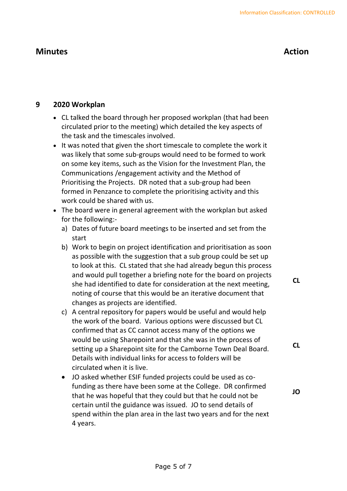### **9 2020 Workplan**

- CL talked the board through her proposed workplan (that had been circulated prior to the meeting) which detailed the key aspects of the task and the timescales involved.
- It was noted that given the short timescale to complete the work it was likely that some sub-groups would need to be formed to work on some key items, such as the Vision for the Investment Plan, the Communications /engagement activity and the Method of Prioritising the Projects. DR noted that a sub-group had been formed in Penzance to complete the prioritising activity and this work could be shared with us.
- The board were in general agreement with the workplan but asked for the following:
	- a) Dates of future board meetings to be inserted and set from the start
	- b) Work to begin on project identification and prioritisation as soon as possible with the suggestion that a sub group could be set up to look at this. CL stated that she had already begun this process and would pull together a briefing note for the board on projects she had identified to date for consideration at the next meeting, noting of course that this would be an iterative document that changes as projects are identified.
	- c) A central repository for papers would be useful and would help the work of the board. Various options were discussed but CL confirmed that as CC cannot access many of the options we would be using Sharepoint and that she was in the process of setting up a Sharepoint site for the Camborne Town Deal Board. Details with individual links for access to folders will be circulated when it is live.
	- JO asked whether ESIF funded projects could be used as cofunding as there have been some at the College. DR confirmed that he was hopeful that they could but that he could not be certain until the guidance was issued. JO to send details of spend within the plan area in the last two years and for the next 4 years.

**CL**

**JO**

**CL**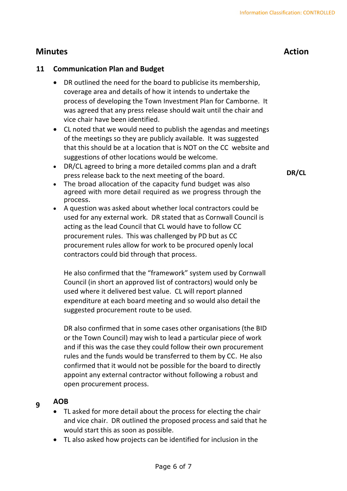### **11 Communication Plan and Budget**

- DR outlined the need for the board to publicise its membership, coverage area and details of how it intends to undertake the process of developing the Town Investment Plan for Camborne. It was agreed that any press release should wait until the chair and vice chair have been identified.
- CL noted that we would need to publish the agendas and meetings of the meetings so they are publicly available. It was suggested that this should be at a location that is NOT on the CC website and suggestions of other locations would be welcome.
- DR/CL agreed to bring a more detailed comms plan and a draft press release back to the next meeting of the board.
- The broad allocation of the capacity fund budget was also agreed with more detail required as we progress through the process.
- A question was asked about whether local contractors could be used for any external work. DR stated that as Cornwall Council is acting as the lead Council that CL would have to follow CC procurement rules. This was challenged by PD but as CC procurement rules allow for work to be procured openly local contractors could bid through that process.

He also confirmed that the "framework" system used by Cornwall Council (in short an approved list of contractors) would only be used where it delivered best value. CL will report planned expenditure at each board meeting and so would also detail the suggested procurement route to be used.

DR also confirmed that in some cases other organisations (the BID or the Town Council) may wish to lead a particular piece of work and if this was the case they could follow their own procurement rules and the funds would be transferred to them by CC. He also confirmed that it would not be possible for the board to directly appoint any external contractor without following a robust and open procurement process.

- **9 AOB**
	- TL asked for more detail about the process for electing the chair and vice chair. DR outlined the proposed process and said that he would start this as soon as possible.
	- TL also asked how projects can be identified for inclusion in the

**DR/CL**